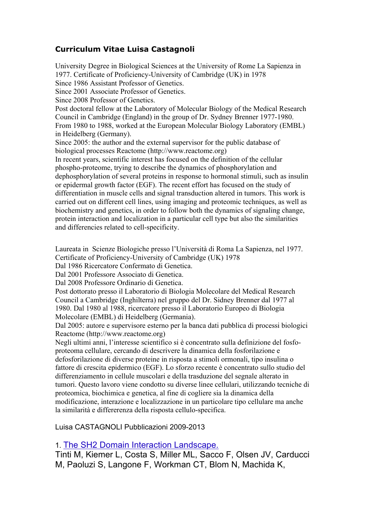## **Curriculum Vitae Luisa Castagnoli**

University Degree in Biological Sciences at the University of Rome La Sapienza in 1977. Certificate of Proficiency-University of Cambridge (UK) in 1978 Since 1986 Assistant Professor of Genetics. Since 2001 Associate Professor of Genetics. Since 2008 Professor of Genetics. Post doctoral fellow at the Laboratory of Molecular Biology of the Medical Research Council in Cambridge (England) in the group of Dr. Sydney Brenner 1977-1980. From 1980 to 1988, worked at the European Molecular Biology Laboratory (EMBL) in Heidelberg (Germany). Since 2005: the author and the external supervisor for the public database of biological processes Reactome (http://www.reactome.org) In recent years, scientific interest has focused on the definition of the cellular phospho-proteome, trying to describe the dynamics of phosphorylation and dephosphorylation of several proteins in response to hormonal stimuli, such as insulin or epidermal growth factor (EGF). The recent effort has focused on the study of differentiation in muscle cells and signal transduction altered in tumors. This work is carried out on different cell lines, using imaging and proteomic techniques, as well as biochemistry and genetics, in order to follow both the dynamics of signaling change, protein interaction and localization in a particular cell type but also the similarities and differencies related to cell-specificity.

Laureata in Scienze Biologiche presso l'Università di Roma La Sapienza, nel 1977. Certificate of Proficiency-University of Cambridge (UK) 1978

Dal 1986 Ricercatore Confermato di Genetica.

Dal 2001 Professore Associato di Genetica.

Dal 2008 Professore Ordinario di Genetica.

Post dottorato presso il Laboratorio di Biologia Molecolare del Medical Research Council a Cambridge (Inghilterra) nel gruppo del Dr. Sidney Brenner dal 1977 al 1980. Dal 1980 al 1988, ricercatore presso il Laboratorio Europeo di Biologia Molecolare (EMBL) di Heidelberg (Germania).

Dal 2005: autore e supervisore esterno per la banca dati pubblica di processi biologici Reactome (http://www.reactome.org)

Negli ultimi anni, l'interesse scientifico si è concentrato sulla definizione del fosfoproteoma cellulare, cercando di descrivere la dinamica della fosforilazione e defosforilazione di diverse proteine in risposta a stimoli ormonali, tipo insulina o fattore di crescita epidermico (EGF). Lo sforzo recente è concentrato sullo studio del differenziamento in cellule muscolari e della trasduzione del segnale alterato in tumori. Questo lavoro viene condotto su diverse linee cellulari, utilizzando tecniche di proteomica, biochimica e genetica, al fine di cogliere sia la dinamica della modificazione, interazione e localizzazione in un particolare tipo cellulare ma anche la similarità e differerenza della risposta cellulo-specifica.

Luisa CASTAGNOLI Pubblicazioni 2009-2013

## 1. The SH2 Domain Interaction Landscape.

Tinti M, Kiemer L, Costa S, Miller ML, Sacco F, Olsen JV, Carducci M, Paoluzi S, Langone F, Workman CT, Blom N, Machida K,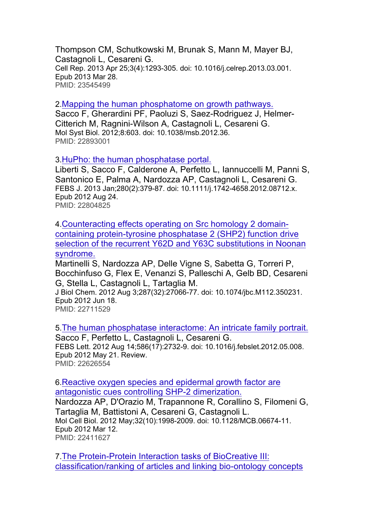Thompson CM, Schutkowski M, Brunak S, Mann M, Mayer BJ, Castagnoli L, Cesareni G. Cell Rep. 2013 Apr 25;3(4):1293-305. doi: 10.1016/j.celrep.2013.03.001. Epub 2013 Mar 28. PMID: 23545499

2.Mapping the human phosphatome on growth pathways.

Sacco F, Gherardini PF, Paoluzi S, Saez-Rodriguez J, Helmer-Citterich M, Ragnini-Wilson A, Castagnoli L, Cesareni G. Mol Syst Biol. 2012;8:603. doi: 10.1038/msb.2012.36. PMID: 22893001

3.HuPho: the human phosphatase portal.

Liberti S, Sacco F, Calderone A, Perfetto L, Iannuccelli M, Panni S, Santonico E, Palma A, Nardozza AP, Castagnoli L, Cesareni G. FEBS J. 2013 Jan;280(2):379-87. doi: 10.1111/j.1742-4658.2012.08712.x. Epub 2012 Aug 24. PMID: 22804825

4.Counteracting effects operating on Src homology 2 domaincontaining protein-tyrosine phosphatase 2 (SHP2) function drive selection of the recurrent Y62D and Y63C substitutions in Noonan syndrome.

Martinelli S, Nardozza AP, Delle Vigne S, Sabetta G, Torreri P, Bocchinfuso G, Flex E, Venanzi S, Palleschi A, Gelb BD, Cesareni G, Stella L, Castagnoli L, Tartaglia M.

J Biol Chem. 2012 Aug 3;287(32):27066-77. doi: 10.1074/jbc.M112.350231. Epub 2012 Jun 18.

PMID: 22711529

5.The human phosphatase interactome: An intricate family portrait. Sacco F, Perfetto L, Castagnoli L, Cesareni G. FEBS Lett. 2012 Aug 14;586(17):2732-9. doi: 10.1016/j.febslet.2012.05.008. Epub 2012 May 21. Review. PMID: 22626554

6.Reactive oxygen species and epidermal growth factor are antagonistic cues controlling SHP-2 dimerization. Nardozza AP, D'Orazio M, Trapannone R, Corallino S, Filomeni G, Tartaglia M, Battistoni A, Cesareni G, Castagnoli L.

Mol Cell Biol. 2012 May;32(10):1998-2009. doi: 10.1128/MCB.06674-11. Epub 2012 Mar 12. PMID: 22411627

7.The Protein-Protein Interaction tasks of BioCreative III: classification/ranking of articles and linking bio-ontology concepts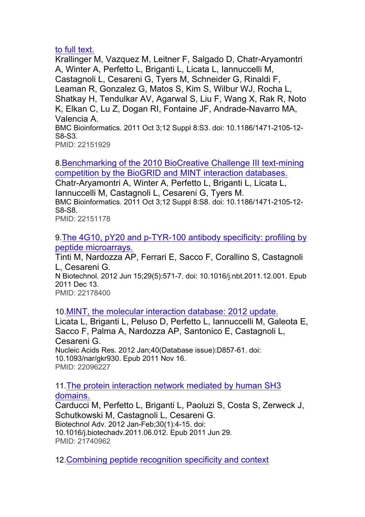## to full text.

Krallinger M, Vazquez M, Leitner F, Salgado D, Chatr-Aryamontri A, Winter A, Perfetto L, Briganti L, Licata L, Iannuccelli M, Castagnoli L, Cesareni G, Tyers M, Schneider G, Rinaldi F, Leaman R, Gonzalez G, Matos S, Kim S, Wilbur WJ, Rocha L, Shatkay H, Tendulkar AV, Agarwal S, Liu F, Wang X, Rak R, Noto K, Elkan C, Lu Z, Dogan RI, Fontaine JF, Andrade-Navarro MA, Valencia A. BMC Bioinformatics. 2011 Oct 3;12 Suppl 8:S3. doi: 10.1186/1471-2105-12- S8-S3. PMID: 22151929

8.Benchmarking of the 2010 BioCreative Challenge III text-mining competition by the BioGRID and MINT interaction databases.

Chatr-Aryamontri A, Winter A, Perfetto L, Briganti L, Licata L, Iannuccelli M, Castagnoli L, Cesareni G, Tyers M. BMC Bioinformatics. 2011 Oct 3;12 Suppl 8:S8. doi: 10.1186/1471-2105-12- S8-S8.

PMID: 22151178

9.The 4G10, pY20 and p-TYR-100 antibody specificity: profiling by peptide microarrays.

Tinti M, Nardozza AP, Ferrari E, Sacco F, Corallino S, Castagnoli L, Cesareni G. N Biotechnol. 2012 Jun 15;29(5):571-7. doi: 10.1016/j.nbt.2011.12.001. Epub 2011 Dec 13.

PMID: 22178400

10.MINT, the molecular interaction database: 2012 update.

Licata L, Briganti L, Peluso D, Perfetto L, Iannuccelli M, Galeota E, Sacco F, Palma A, Nardozza AP, Santonico E, Castagnoli L, Cesareni G. Nucleic Acids Res. 2012 Jan;40(Database issue):D857-61. doi: 10.1093/nar/gkr930. Epub 2011 Nov 16. PMID: 22096227

11.The protein interaction network mediated by human SH3

domains.

Carducci M, Perfetto L, Briganti L, Paoluzi S, Costa S, Zerweck J, Schutkowski M, Castagnoli L, Cesareni G. Biotechnol Adv. 2012 Jan-Feb;30(1):4-15. doi: 10.1016/j.biotechadv.2011.06.012. Epub 2011 Jun 29. PMID: 21740962

12.Combining peptide recognition specificity and context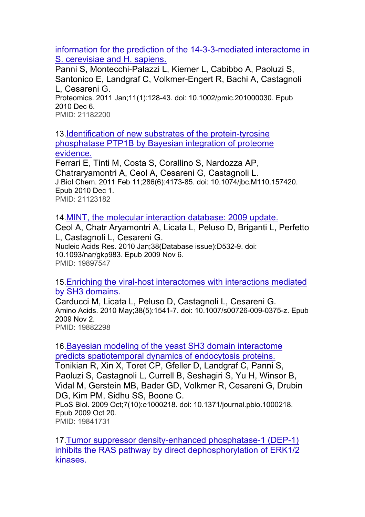information for the prediction of the 14-3-3-mediated interactome in S. cerevisiae and H. sapiens.

Panni S, Montecchi-Palazzi L, Kiemer L, Cabibbo A, Paoluzi S, Santonico E, Landgraf C, Volkmer-Engert R, Bachi A, Castagnoli L, Cesareni G.

Proteomics. 2011 Jan;11(1):128-43. doi: 10.1002/pmic.201000030. Epub 2010 Dec 6.

PMID: 21182200

13.Identification of new substrates of the protein-tyrosine phosphatase PTP1B by Bayesian integration of proteome evidence.

Ferrari E, Tinti M, Costa S, Corallino S, Nardozza AP, Chatraryamontri A, Ceol A, Cesareni G, Castagnoli L. J Biol Chem. 2011 Feb 11;286(6):4173-85. doi: 10.1074/jbc.M110.157420. Epub 2010 Dec 1. PMID: 21123182

14.MINT, the molecular interaction database: 2009 update.

Ceol A, Chatr Aryamontri A, Licata L, Peluso D, Briganti L, Perfetto L, Castagnoli L, Cesareni G. Nucleic Acids Res. 2010 Jan;38(Database issue):D532-9. doi: 10.1093/nar/gkp983. Epub 2009 Nov 6. PMID: 19897547

15.Enriching the viral-host interactomes with interactions mediated by SH3 domains.

Carducci M, Licata L, Peluso D, Castagnoli L, Cesareni G. Amino Acids. 2010 May;38(5):1541-7. doi: 10.1007/s00726-009-0375-z. Epub 2009 Nov 2. PMID: 19882298

16.Bayesian modeling of the yeast SH3 domain interactome predicts spatiotemporal dynamics of endocytosis proteins.

Tonikian R, Xin X, Toret CP, Gfeller D, Landgraf C, Panni S, Paoluzi S, Castagnoli L, Currell B, Seshagiri S, Yu H, Winsor B, Vidal M, Gerstein MB, Bader GD, Volkmer R, Cesareni G, Drubin DG, Kim PM, Sidhu SS, Boone C. PLoS Biol. 2009 Oct;7(10):e1000218. doi: 10.1371/journal.pbio.1000218.

Epub 2009 Oct 20. PMID: 19841731

17.Tumor suppressor density-enhanced phosphatase-1 (DEP-1) inhibits the RAS pathway by direct dephosphorylation of ERK1/2 kinases.